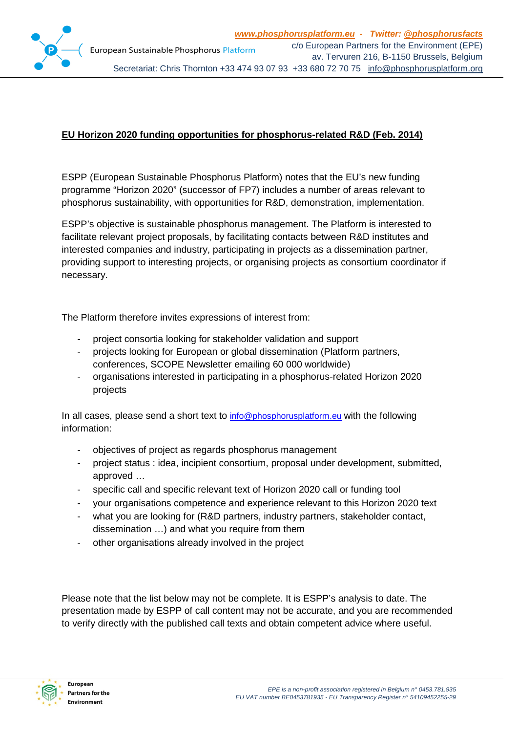

# **EU Horizon 2020 funding opportunities for phosphorus-related R&D (Feb. 2014)**

ESPP (European Sustainable Phosphorus Platform) notes that the EU's new funding programme "Horizon 2020" (successor of FP7) includes a number of areas relevant to phosphorus sustainability, with opportunities for R&D, demonstration, implementation.

ESPP's objective is sustainable phosphorus management. The Platform is interested to facilitate relevant project proposals, by facilitating contacts between R&D institutes and interested companies and industry, participating in projects as a dissemination partner, providing support to interesting projects, or organising projects as consortium coordinator if necessary.

The Platform therefore invites expressions of interest from:

- project consortia looking for stakeholder validation and support
- projects looking for European or global dissemination (Platform partners, conferences, SCOPE Newsletter emailing 60 000 worldwide)
- organisations interested in participating in a phosphorus-related Horizon 2020 projects

In all cases, please send a short text to [info@phosphorusplatform.eu](mailto:info@phosphorusplatform.eu) with the following information:

- objectives of project as regards phosphorus management
- project status : idea, incipient consortium, proposal under development, submitted, approved …
- specific call and specific relevant text of Horizon 2020 call or funding tool
- your organisations competence and experience relevant to this Horizon 2020 text
- what you are looking for (R&D partners, industry partners, stakeholder contact, dissemination …) and what you require from them
- other organisations already involved in the project

Please note that the list below may not be complete. It is ESPP's analysis to date. The presentation made by ESPP of call content may not be accurate, and you are recommended to verify directly with the published call texts and obtain competent advice where useful.